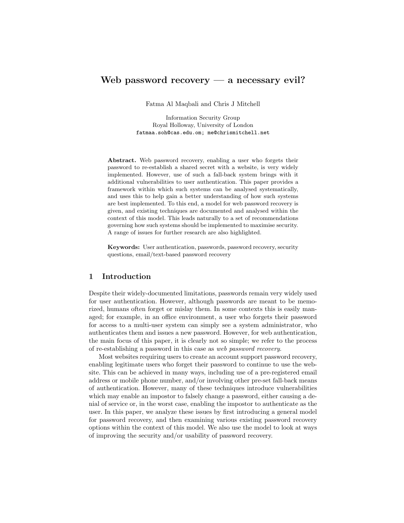# Web password recovery — a necessary evil?

Fatma Al Maqbali and Chris J Mitchell

Information Security Group Royal Holloway, University of London fatmaa.soh@cas.edu.om; me@chrismitchell.net

Abstract. Web password recovery, enabling a user who forgets their password to re-establish a shared secret with a website, is very widely implemented. However, use of such a fall-back system brings with it additional vulnerabilities to user authentication. This paper provides a framework within which such systems can be analysed systematically, and uses this to help gain a better understanding of how such systems are best implemented. To this end, a model for web password recovery is given, and existing techniques are documented and analysed within the context of this model. This leads naturally to a set of recommendations governing how such systems should be implemented to maximise security. A range of issues for further research are also highlighted.

Keywords: User authentication, passwords, password recovery, security questions, email/text-based password recovery

## 1 Introduction

Despite their widely-documented limitations, passwords remain very widely used for user authentication. However, although passwords are meant to be memorized, humans often forget or mislay them. In some contexts this is easily managed; for example, in an office environment, a user who forgets their password for access to a multi-user system can simply see a system administrator, who authenticates them and issues a new password. However, for web authentication, the main focus of this paper, it is clearly not so simple; we refer to the process of re-establishing a password in this case as web password recovery.

Most websites requiring users to create an account support password recovery, enabling legitimate users who forget their password to continue to use the website. This can be achieved in many ways, including use of a pre-registered email address or mobile phone number, and/or involving other pre-set fall-back means of authentication. However, many of these techniques introduce vulnerabilities which may enable an impostor to falsely change a password, either causing a denial of service or, in the worst case, enabling the impostor to authenticate as the user. In this paper, we analyze these issues by first introducing a general model for password recovery, and then examining various existing password recovery options within the context of this model. We also use the model to look at ways of improving the security and/or usability of password recovery.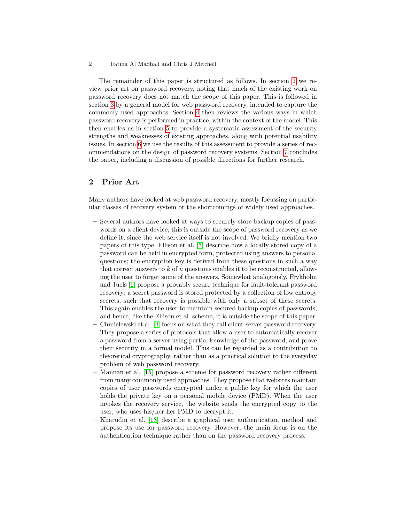The remainder of this paper is structured as follows. In section [2](#page-1-0) we review prior art on password recovery, noting that much of the existing work on password recovery does not match the scope of this paper. This is followed in section [3](#page-2-0) by a general model for web password recovery, intended to capture the commonly used approaches. Section [4](#page-4-0) then reviews the various ways in which password recovery is performed in practice, within the context of the model. This then enables us in section [5](#page-8-0) to provide a systematic assessment of the security strengths and weaknesses of existing approaches, along with potential usability issues. In section [6](#page-13-0) we use the results of this assessment to provide a series of recommendations on the design of password recovery systems. Section [7](#page-15-0) concludes the paper, including a discussion of possible directions for further research.

# <span id="page-1-0"></span>2 Prior Art

Many authors have looked at web password recovery, mostly focussing on particular classes of recovery system or the shortcomings of widely used approaches.

- Several authors have looked at ways to securely store backup copies of passwords on a client device; this is outside the scope of password recovery as we define it, since the web service itself is not involved. We briefly mention two papers of this type. Ellison et al. [\[5\]](#page-16-0) describe how a locally stored copy of a password can be held in encrypted form, protected using answers to personal questions; the encryption key is derived from these questions in such a way that correct answers to  $k$  of  $n$  questions enables it to be reconstructed, allowing the user to forget some of the answers. Somewhat analogously, Frykholm and Juels [\[6\]](#page-16-1) propose a provably secure technique for fault-tolerant password recovery; a secret password is stored protected by a collection of low entropy secrets, such that recovery is possible with only a subset of these secrets. This again enables the user to maintain secured backup copies of passwords, and hence, like the Ellison et al. scheme, it is outside the scope of this paper.
- Chmielewski et al. [\[4\]](#page-16-2) focus on what they call client-server password recovery. They propose a series of protocols that allow a user to automatically recover a password from a server using partial knowledge of the password, and prove their security in a formal model. This can be regarded as a contribution to theoretical cryptography, rather than as a practical solution to the everyday problem of web password recovery.
- Mannan et al. [\[15\]](#page-17-0) propose a scheme for password recovery rather different from many commonly used approaches. They propose that websites maintain copies of user passwords encrypted under a public key for which the user holds the private key on a personal mobile device (PMD). When the user invokes the recovery service, the website sends the encrypted copy to the user, who uses his/her her PMD to decrypt it.
- Kharudin et al. [\[13\]](#page-16-3) describe a graphical user authentication method and propose its use for password recovery. However, the main focus is on the authentication technique rather than on the password recovery process.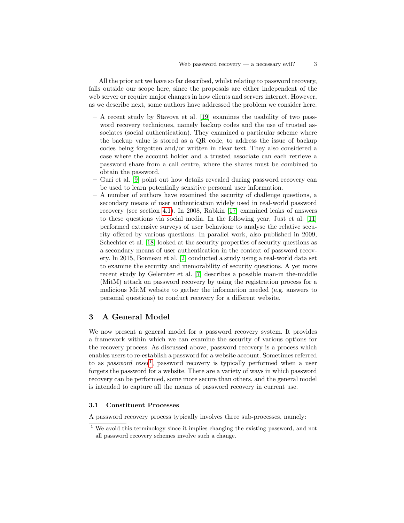All the prior art we have so far described, whilst relating to password recovery, falls outside our scope here, since the proposals are either independent of the web server or require major changes in how clients and servers interact. However, as we describe next, some authors have addressed the problem we consider here.

- A recent study by Stavova et al. [\[19\]](#page-17-1) examines the usability of two password recovery techniques, namely backup codes and the use of trusted associates (social authentication). They examined a particular scheme where the backup value is stored as a QR code, to address the issue of backup codes being forgotten and/or written in clear text. They also considered a case where the account holder and a trusted associate can each retrieve a password share from a call centre, where the shares must be combined to obtain the password.
- Guri et al. [\[9\]](#page-16-4) point out how details revealed during password recovery can be used to learn potentially sensitive personal user information.
- A number of authors have examined the security of challenge questions, a secondary means of user authentication widely used in real-world password recovery (see section [4.1\)](#page-4-1). In 2008, Rabkin [\[17\]](#page-17-2) examined leaks of answers to these questions via social media. In the following year, Just et al. [\[11\]](#page-16-5) performed extensive surveys of user behaviour to analyse the relative security offered by various questions. In parallel work, also published in 2009, Schechter et al. [\[18\]](#page-17-3) looked at the security properties of security questions as a secondary means of user authentication in the context of password recovery. In 2015, Bonneau et al. [\[2\]](#page-16-6) conducted a study using a real-world data set to examine the security and memorability of security questions. A yet more recent study by Gelernter et al. [\[7\]](#page-16-7) describes a possible man-in the-middle (MitM) attack on password recovery by using the registration process for a malicious MitM website to gather the information needed (e.g. answers to personal questions) to conduct recovery for a different website.

## <span id="page-2-0"></span>3 A General Model

We now present a general model for a password recovery system. It provides a framework within which we can examine the security of various options for the recovery process. As discussed above, password recovery is a process which enables users to re-establish a password for a website account. Sometimes referred to as *password reset*<sup>[1](#page-2-1)</sup>, password recovery is typically performed when a user forgets the password for a website. There are a variety of ways in which password recovery can be performed, some more secure than others, and the general model is intended to capture all the means of password recovery in current use.

#### 3.1 Constituent Processes

A password recovery process typically involves three sub-processes, namely:

<span id="page-2-1"></span><sup>1</sup> We avoid this terminology since it implies changing the existing password, and not all password recovery schemes involve such a change.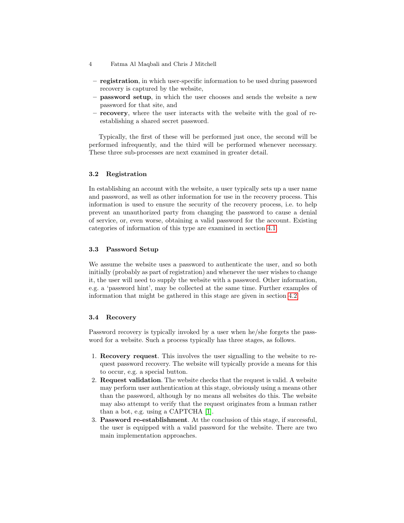- 4 Fatma Al Maqbali and Chris J Mitchell
- registration, in which user-specific information to be used during password recovery is captured by the website,
- password setup, in which the user chooses and sends the website a new password for that site, and
- recovery, where the user interacts with the website with the goal of reestablishing a shared secret password.

Typically, the first of these will be performed just once, the second will be performed infrequently, and the third will be performed whenever necessary. These three sub-processes are next examined in greater detail.

### 3.2 Registration

In establishing an account with the website, a user typically sets up a user name and password, as well as other information for use in the recovery process. This information is used to ensure the security of the recovery process, i.e. to help prevent an unauthorized party from changing the password to cause a denial of service, or, even worse, obtaining a valid password for the account. Existing categories of information of this type are examined in section [4.1.](#page-4-1)

## 3.3 Password Setup

We assume the website uses a password to authenticate the user, and so both initially (probably as part of registration) and whenever the user wishes to change it, the user will need to supply the website with a password. Other information, e.g. a 'password hint', may be collected at the same time. Further examples of information that might be gathered in this stage are given in section [4.2.](#page-6-0)

## 3.4 Recovery

Password recovery is typically invoked by a user when he/she forgets the password for a website. Such a process typically has three stages, as follows.

- 1. Recovery request. This involves the user signalling to the website to request password recovery. The website will typically provide a means for this to occur, e.g. a special button.
- 2. Request validation. The website checks that the request is valid. A website may perform user authentication at this stage, obviously using a means other than the password, although by no means all websites do this. The website may also attempt to verify that the request originates from a human rather than a bot, e.g. using a CAPTCHA [\[1\]](#page-15-1).
- 3. Password re-establishment. At the conclusion of this stage, if successful, the user is equipped with a valid password for the website. There are two main implementation approaches.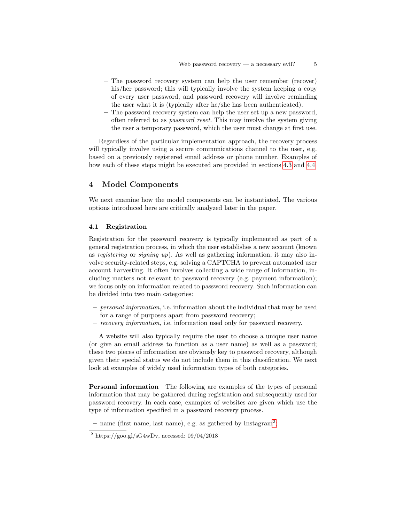- The password recovery system can help the user remember (recover) his/her password; this will typically involve the system keeping a copy of every user password, and password recovery will involve reminding the user what it is (typically after he/she has been authenticated).
- The password recovery system can help the user set up a new password, often referred to as password reset. This may involve the system giving the user a temporary password, which the user must change at first use.

Regardless of the particular implementation approach, the recovery process will typically involve using a secure communications channel to the user, e.g. based on a previously registered email address or phone number. Examples of how each of these steps might be executed are provided in sections [4.3](#page-6-1) and [4.4.](#page-7-0)

## <span id="page-4-0"></span>4 Model Components

We next examine how the model components can be instantiated. The various options introduced here are critically analyzed later in the paper.

#### <span id="page-4-1"></span>4.1 Registration

Registration for the password recovery is typically implemented as part of a general registration process, in which the user establishes a new account (known as registering or signing up). As well as gathering information, it may also involve security-related steps, e.g. solving a CAPTCHA to prevent automated user account harvesting. It often involves collecting a wide range of information, including matters not relevant to password recovery (e.g. payment information); we focus only on information related to password recovery. Such information can be divided into two main categories:

- personal information, i.e. information about the individual that may be used for a range of purposes apart from password recovery;
- recovery information, i.e. information used only for password recovery.

A website will also typically require the user to choose a unique user name (or give an email address to function as a user name) as well as a password; these two pieces of information are obviously key to password recovery, although given their special status we do not include them in this classification. We next look at examples of widely used information types of both categories.

Personal information The following are examples of the types of personal information that may be gathered during registration and subsequently used for password recovery. In each case, examples of websites are given which use the type of information specified in a password recovery process.

- name (first name, last name), e.g. as gathered by  $Instantan^2$  $Instantan^2$ ;

<span id="page-4-2"></span><sup>&</sup>lt;sup>2</sup> https://goo.gl/sG4wDv, accessed:  $09/04/2018$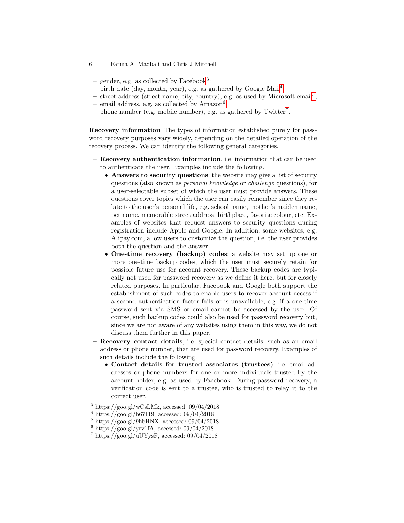- 6 Fatma Al Maqbali and Chris J Mitchell
	- gender, e.g. as collected by Facebook<sup>[3](#page-5-0)</sup>;
	- $-$  birth date (day, month, year), e.g. as gathered by Google Mail<sup>[4](#page-5-1)</sup>;
	- street address (street name, city, country), e.g. as used by Microsoft email<sup>[5](#page-5-2)</sup>;
- $-$  email address, e.g. as collected by Amazon<sup>[6](#page-5-3)</sup>;
- phone number (e.g. mobile number), e.g. as gathered by Twitter<sup>[7](#page-5-4)</sup>.

<span id="page-5-5"></span>Recovery information The types of information established purely for password recovery purposes vary widely, depending on the detailed operation of the recovery process. We can identify the following general categories.

- Recovery authentication information, i.e. information that can be used to authenticate the user. Examples include the following.
	- Answers to security questions: the website may give a list of security questions (also known as personal knowledge or challenge questions), for a user-selectable subset of which the user must provide answers. These questions cover topics which the user can easily remember since they relate to the user's personal life, e.g. school name, mother's maiden name, pet name, memorable street address, birthplace, favorite colour, etc. Examples of websites that request answers to security questions during registration include Apple and Google. In addition, some websites, e.g. Alipay.com, allow users to customize the question, i.e. the user provides both the question and the answer.
	- One-time recovery (backup) codes: a website may set up one or more one-time backup codes, which the user must securely retain for possible future use for account recovery. These backup codes are typically not used for password recovery as we define it here, but for closely related purposes. In particular, Facebook and Google both support the establishment of such codes to enable users to recover account access if a second authentication factor fails or is unavailable, e.g. if a one-time password sent via SMS or email cannot be accessed by the user. Of course, such backup codes could also be used for password recovery but, since we are not aware of any websites using them in this way, we do not discuss them further in this paper.
- Recovery contact details, i.e. special contact details, such as an email address or phone number, that are used for password recovery. Examples of such details include the following.
	- Contact details for trusted associates (trustees): i.e. email addresses or phone numbers for one or more individuals trusted by the account holder, e.g. as used by Facebook. During password recovery, a verification code is sent to a trustee, who is trusted to relay it to the correct user.

<span id="page-5-0"></span><sup>&</sup>lt;sup>3</sup> https://goo.gl/wCsLMk, accessed:  $09/04/2018$ 

<span id="page-5-1"></span> $^{4}$  https://goo.gl/b67119, accessed: 09/04/2018

<span id="page-5-2"></span> $5 \text{ https://goo.gl/9hbHNX}, \text{ accessed: } 09/04/2018$ 

<span id="page-5-3"></span> $6 \text{ https://goo.gl/yrv1fA, accessed: } 09/04/2018$ 

<span id="page-5-4"></span> $^7$  https://goo.gl/uUYysF, accessed: 09/04/2018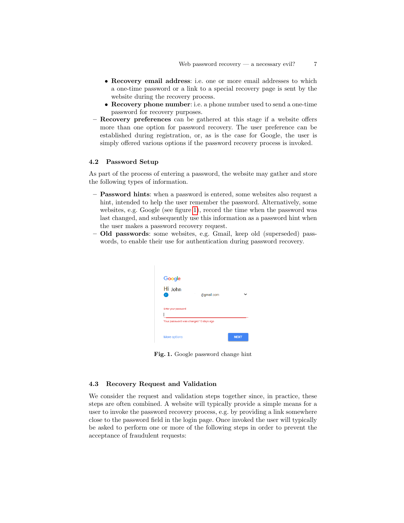- Recovery email address: i.e. one or more email addresses to which a one-time password or a link to a special recovery page is sent by the website during the recovery process.
- Recovery phone number: i.e. a phone number used to send a one-time password for recovery purposes.
- Recovery preferences can be gathered at this stage if a website offers more than one option for password recovery. The user preference can be established during registration, or, as is the case for Google, the user is simply offered various options if the password recovery process is invoked.

### <span id="page-6-0"></span>4.2 Password Setup

As part of the process of entering a password, the website may gather and store the following types of information.

- Password hints: when a password is entered, some websites also request a hint, intended to help the user remember the password. Alternatively, some websites, e.g. Google (see figure [1\)](#page-6-2), record the time when the password was last changed, and subsequently use this information as a password hint when the user makes a password recovery request.
- Old passwords: some websites, e.g. Gmail, keep old (superseded) passwords, to enable their use for authentication during password recovery.

<span id="page-6-2"></span>

Fig. 1. Google password change hint

## <span id="page-6-1"></span>4.3 Recovery Request and Validation

We consider the request and validation steps together since, in practice, these steps are often combined. A website will typically provide a simple means for a user to invoke the password recovery process, e.g. by providing a link somewhere close to the password field in the login page. Once invoked the user will typically be asked to perform one or more of the following steps in order to prevent the acceptance of fraudulent requests: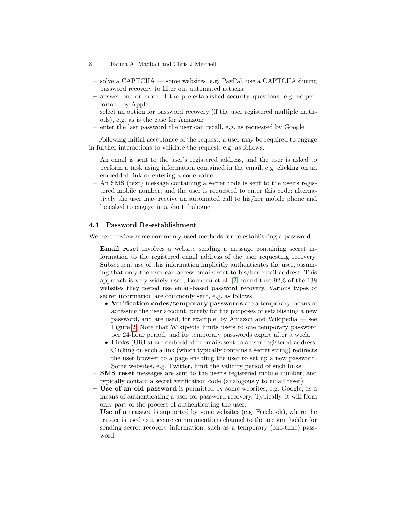- solve a CAPTCHA some websites, e.g. PayPal, use a CAPTCHA during password recovery to filter out automated attacks;
- answer one or more of the pre-established security questions, e.g. as performed by Apple;
- select an option for password recovery (if the user registered multiple methods), e.g. as is the case for Amazon;
- enter the last password the user can recall, e.g. as requested by Google.

Following initial acceptance of the request, a user may be required to engage in further interactions to validate the request, e.g. as follows.

- An email is sent to the user's registered address, and the user is asked to perform a task using information contained in the email, e.g. clicking on an embedded link or entering a code value.
- An SMS (text) message containing a secret code is sent to the user's registered mobile number, and the user is requested to enter this code; alternatively the user may receive an automated call to his/her mobile phone and be asked to engage in a short dialogue.

## <span id="page-7-0"></span>4.4 Password Re-establishment

We next review some commonly used methods for re-establishing a password.

- Email reset involves a website sending a message containing secret information to the registered email address of the user requesting recovery. Subsequent use of this information implicitly authenticates the user, assuming that only the user can access emails sent to his/her email address. This approach is very widely used; Bonneau et al. [\[3\]](#page-16-8) found that 92% of the 138 websites they tested use email-based password recovery. Various types of secret information are commonly sent, e.g. as follows.
	- Verification codes/temporary passwords are a temporary means of accessing the user account, purely for the purposes of establishing a new password, and are used, for example, by Amazon and Wikipedia — see Figure [2.](#page-8-1) Note that Wikipedia limits users to one temporary password per 24-hour period, and its temporary passwords expire after a week.
	- Links (URLs) are embedded in emails sent to a user-registered address. Clicking on such a link (which typically contains a secret string) redirects the user browser to a page enabling the user to set up a new password. Some websites, e.g. Twitter, limit the validity period of such links.
- SMS reset messages are sent to the user's registered mobile number, and typically contain a secret verification code (analogously to email reset).
- Use of an old password is permitted by some websites, e.g. Google, as a means of authenticating a user for password recovery. Typically, it will form only part of the process of authenticating the user.
- Use of a trustee is supported by some websites (e.g. Facebook), where the trustee is used as a secure communications channel to the account holder for sending secret recovery information, such as a temporary (one-time) password.

<sup>8</sup> Fatma Al Maqbali and Chris J Mitchell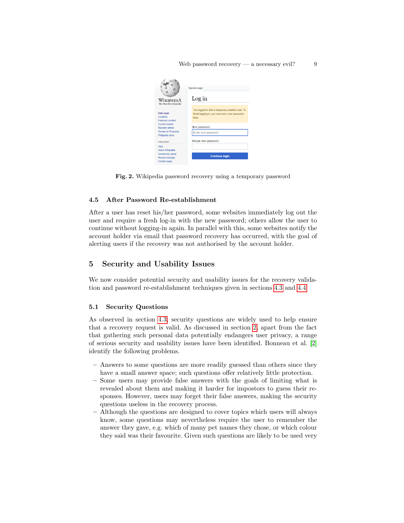<span id="page-8-1"></span>

Fig. 2. Wikipedia password recovery using a temporary password

#### 4.5 After Password Re-establishment

After a user has reset his/her password, some websites immediately log out the user and require a fresh log-in with the new password; others allow the user to continue without logging-in again. In parallel with this, some websites notify the account holder via email that password recovery has occurred, with the goal of alerting users if the recovery was not authorised by the account holder.

## <span id="page-8-0"></span>5 Security and Usability Issues

We now consider potential security and usability issues for the recovery validation and password re-establishment techniques given in sections [4.3](#page-6-1) and [4.4.](#page-7-0)

#### <span id="page-8-2"></span>5.1 Security Questions

As observed in section [4.3,](#page-6-1) security questions are widely used to help ensure that a recovery request is valid. As discussed in section [2,](#page-1-0) apart from the fact that gathering such personal data potentially endangers user privacy, a range of serious security and usability issues have been identified. Bonneau et al. [\[2\]](#page-16-6) identify the following problems.

- Answers to some questions are more readily guessed than others since they have a small answer space; such questions offer relatively little protection.
- Some users may provide false answers with the goals of limiting what is revealed about them and making it harder for impostors to guess their responses. However, users may forget their false answers, making the security questions useless in the recovery process.
- Although the questions are designed to cover topics which users will always know, some questions may nevertheless require the user to remember the answer they gave, e.g. which of many pet names they chose, or which colour they said was their favourite. Given such questions are likely to be used very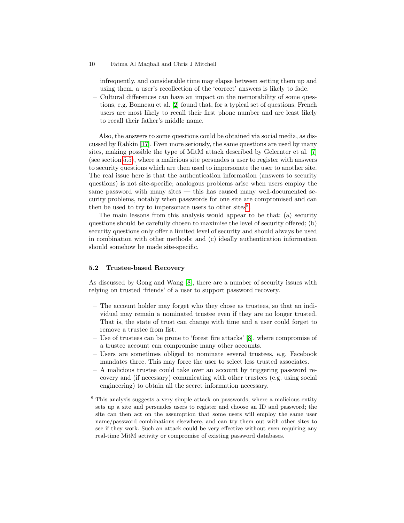infrequently, and considerable time may elapse between setting them up and using them, a user's recollection of the 'correct' answers is likely to fade.

– Cultural differences can have an impact on the memorability of some questions, e.g. Bonneau et al. [\[2\]](#page-16-6) found that, for a typical set of questions, French users are most likely to recall their first phone number and are least likely to recall their father's middle name.

Also, the answers to some questions could be obtained via social media, as discussed by Rabkin [\[17\]](#page-17-2). Even more seriously, the same questions are used by many sites, making possible the type of MitM attack described by Gelernter et al. [\[7\]](#page-16-7) (see section [5.5\)](#page-11-0), where a malicious site persuades a user to register with answers to security questions which are then used to impersonate the user to another site. The real issue here is that the authentication information (answers to security questions) is not site-specific; analogous problems arise when users employ the same password with many sites — this has caused many well-documented security problems, notably when passwords for one site are compromised and can then be used to try to impersonate users to other sites<sup>[8](#page-9-0)</sup>.

The main lessons from this analysis would appear to be that: (a) security questions should be carefully chosen to maximise the level of security offered; (b) security questions only offer a limited level of security and should always be used in combination with other methods; and (c) ideally authentication information should somehow be made site-specific.

#### 5.2 Trustee-based Recovery

As discussed by Gong and Wang [\[8\]](#page-16-9), there are a number of security issues with relying on trusted 'friends' of a user to support password recovery.

- The account holder may forget who they chose as trustees, so that an individual may remain a nominated trustee even if they are no longer trusted. That is, the state of trust can change with time and a user could forget to remove a trustee from list.
- Use of trustees can be prone to 'forest fire attacks' [\[8\]](#page-16-9), where compromise of a trustee account can compromise many other accounts.
- Users are sometimes obliged to nominate several trustees, e.g. Facebook mandates three. This may force the user to select less trusted associates.
- A malicious trustee could take over an account by triggering password recovery and (if necessary) comunicating with other trustees (e.g. using social engineering) to obtain all the secret information necessary.

<span id="page-9-0"></span><sup>8</sup> This analysis suggests a very simple attack on passwords, where a malicious entity sets up a site and persuades users to register and choose an ID and password; the site can then act on the assumption that some users will employ the same user name/password combinations elsewhere, and can try them out with other sites to see if they work. Such an attack could be very effective without even requiring any real-time MitM activity or compromise of existing password databases.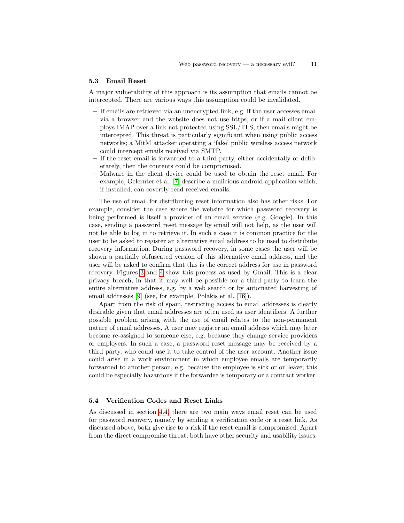#### <span id="page-10-0"></span>5.3 Email Reset

A major vulnerability of this approach is its assumption that emails cannot be intercepted. There are various ways this assumption could be invalidated.

- If emails are retrieved via an unencrypted link, e.g. if the user accesses email via a browser and the website does not use https, or if a mail client employs IMAP over a link not protected using SSL/TLS, then emails might be intercepted. This threat is particularly significant when using public access networks; a MitM attacker operating a 'fake' public wireless access network could intercept emails received via SMTP.
- If the reset email is forwarded to a third party, either accidentally or deliberately, then the contents could be compromised.
- Malware in the client device could be used to obtain the reset email. For example, Gelernter et al. [\[7\]](#page-16-7) describe a malicious android application which, if installed, can covertly read received emails.

The use of email for distributing reset information also has other risks. For example, consider the case where the website for which password recovery is being performed is itself a provider of an email service (e.g. Google). In this case, sending a password reset message by email will not help, as the user will not be able to log in to retrieve it. In such a case it is common practice for the user to be asked to register an alternative email address to be used to distribute recovery information. During password recovery, in some cases the user will be shown a partially obfuscated version of this alternative email address, and the user will be asked to confirm that this is the correct address for use in password recovery. Figures [3](#page-11-1) and [4](#page-11-2) show this process as used by Gmail. This is a clear privacy breach, in that it may well be possible for a third party to learn the entire alternative address, e.g. by a web search or by automated harvesting of email addresses [\[9\]](#page-16-4) (see, for example, Polakis et al. [\[16\]](#page-17-4)).

Apart from the risk of spam, restricting access to email addresses is clearly desirable given that email addresses are often used as user identifiers. A further possible problem arising with the use of email relates to the non-permanent nature of email addresses. A user may register an email address which may later become re-assigned to someone else, e.g. because they change service providers or employers. In such a case, a password reset message may be received by a third party, who could use it to take control of the user account. Another issue could arise in a work environment in which employee emails are temporarily forwarded to another person, e.g. because the employee is sick or on leave; this could be especially hazardous if the forwardee is temporary or a contract worker.

### 5.4 Verification Codes and Reset Links

As discussed in section [4.4,](#page-7-0) there are two main ways email reset can be used for password recovery, namely by sending a verification code or a reset link. As discussed above, both give rise to a risk if the reset email is compromised. Apart from the direct compromise threat, both have other security and usability issues.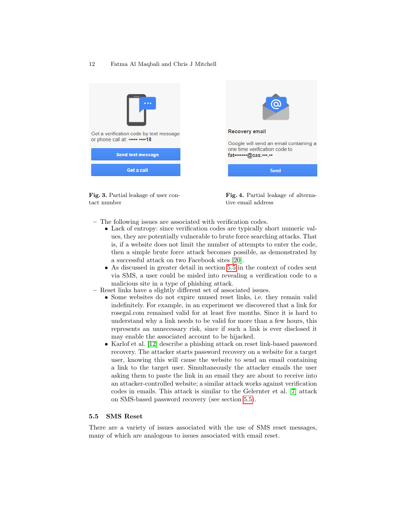

<span id="page-11-1"></span>Fig. 3. Partial leakage of user contact number

<span id="page-11-2"></span>

Fig. 4. Partial leakage of alternative email address

- The following issues are associated with verification codes.
	- Lack of entropy: since verification codes are typically short numeric values, they are potentially vulnerable to brute force searching attacks. That is, if a website does not limit the number of attempts to enter the code, then a simple brute force attack becomes possible, as demonstrated by a successful attack on two Facebook sites [\[20\]](#page-17-5).
	- As discussed in greater detail in section [5.5](#page-11-0) in the context of codes sent via SMS, a user could be misled into revealing a verification code to a malicious site in a type of phishing attack.
- Reset links have a slightly different set of associated issues.
	- Some websites do not expire unused reset links, i.e. they remain valid indefinitely. For example, in an experiment we discovered that a link for rosegal.com remained valid for at least five months. Since it is hard to understand why a link needs to be valid for more than a few hours, this represents an unnecessary risk, since if such a link is ever disclosed it may enable the associated account to be hijacked.
	- Karlof et al. [\[12\]](#page-16-10) describe a phishing attack on reset link-based password recovery. The attacker starts password recovery on a website for a target user, knowing this will cause the website to send an email containing a link to the target user. Simultaneously the attacker emails the user asking them to paste the link in an email they are about to receive into an attacker-controlled website; a similar attack works against verification codes in emails. This attack is similar to the Gelernter et al. [\[7\]](#page-16-7) attack on SMS-based password recovery (see section [5.5\)](#page-11-0).

## <span id="page-11-0"></span>5.5 SMS Reset

There are a variety of issues associated with the use of SMS reset messages, many of which are analogous to issues associated with email reset.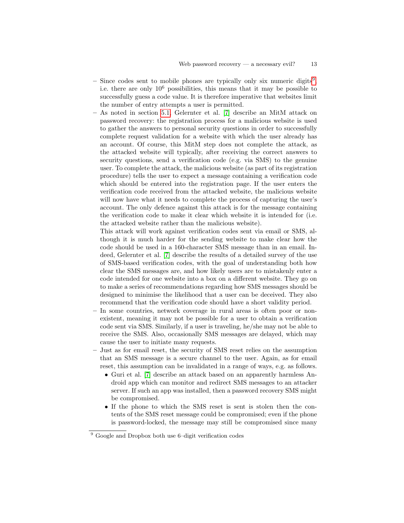- Since codes sent to mobile phones are typically only six numeric digits<sup>[9](#page-12-0)</sup>, i.e. there are only  $10^6$  possibilities, this means that it may be possible to successfully guess a code value. It is therefore imperative that websites limit the number of entry attempts a user is permitted.
- As noted in section [5.1,](#page-8-2) Gelernter et al. [\[7\]](#page-16-7) describe an MitM attack on password recovery: the registration process for a malicious website is used to gather the answers to personal security questions in order to successfully complete request validation for a website with which the user already has an account. Of course, this MitM step does not complete the attack, as the attacked website will typically, after receiving the correct answers to security questions, send a verification code (e.g. via SMS) to the genuine user. To complete the attack, the malicious website (as part of its registration procedure) tells the user to expect a message containing a verification code which should be entered into the registration page. If the user enters the verification code received from the attacked website, the malicious website will now have what it needs to complete the process of capturing the user's account. The only defence against this attack is for the message containing the verification code to make it clear which website it is intended for (i.e. the attacked website rather than the malicious website).

This attack will work against verification codes sent via email or SMS, although it is much harder for the sending website to make clear how the code should be used in a 160-character SMS message than in an email. Indeed, Gelernter et al. [\[7\]](#page-16-7) describe the results of a detailed survey of the use of SMS-based verification codes, with the goal of understanding both how clear the SMS messages are, and how likely users are to mistakenly enter a code intended for one website into a box on a different website. They go on to make a series of recommendations regarding how SMS messages should be designed to minimise the likelihood that a user can be deceived. They also recommend that the verification code should have a short validity period.

- In some countries, network coverage in rural areas is often poor or nonexistent, meaning it may not be possible for a user to obtain a verification code sent via SMS. Similarly, if a user is traveling, he/she may not be able to receive the SMS. Also, occasionally SMS messages are delayed, which may cause the user to initiate many requests.
- Just as for email reset, the security of SMS reset relies on the assumption that an SMS message is a secure channel to the user. Again, as for email reset, this assumption can be invalidated in a range of ways, e.g. as follows.
	- Guri et al. [\[7\]](#page-16-7) describe an attack based on an apparently harmless Android app which can monitor and redirect SMS messages to an attacker server. If such an app was installed, then a password recovery SMS might be compromised.
	- If the phone to which the SMS reset is sent is stolen then the contents of the SMS reset message could be compromised; even if the phone is password-locked, the message may still be compromised since many

<span id="page-12-0"></span><sup>9</sup> Google and Dropbox both use 6–digit verification codes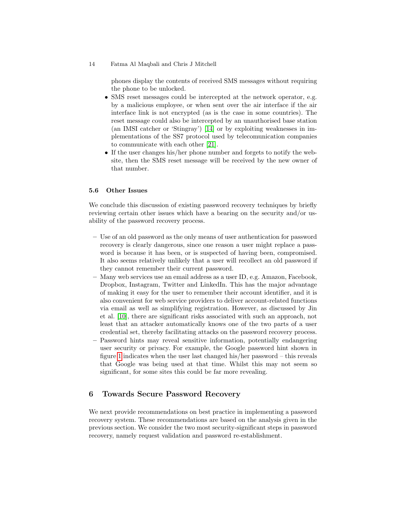phones display the contents of received SMS messages without requiring the phone to be unlocked.

- SMS reset messages could be intercepted at the network operator, e.g. by a malicious employee, or when sent over the air interface if the air interface link is not encrypted (as is the case in some countries). The reset message could also be intercepted by an unauthorised base station (an IMSI catcher or 'Stingray') [\[14\]](#page-16-11) or by exploiting weaknesses in implementations of the SS7 protocol used by telecomunication companies to communicate with each other [\[21\]](#page-17-6).
- If the user changes his/her phone number and forgets to notify the website, then the SMS reset message will be received by the new owner of that number.

### 5.6 Other Issues

We conclude this discussion of existing password recovery techniques by briefly reviewing certain other issues which have a bearing on the security and/or usability of the password recovery process.

- Use of an old password as the only means of user authentication for password recovery is clearly dangerous, since one reason a user might replace a password is because it has been, or is suspected of having been, compromised. It also seems relatively unlikely that a user will recollect an old password if they cannot remember their current password.
- Many web services use an email address as a user ID, e.g. Amazon, Facebook, Dropbox, Instagram, Twitter and LinkedIn. This has the major advantage of making it easy for the user to remember their account identifier, and it is also convenient for web service providers to deliver account-related functions via email as well as simplifying registration. However, as discussed by Jin et al. [\[10\]](#page-16-12), there are significant risks associated with such an approach, not least that an attacker automatically knows one of the two parts of a user credential set, thereby facilitating attacks on the password recovery process.
- Password hints may reveal sensitive information, potentially endangering user security or privacy. For example, the Google password hint shown in figure [1](#page-6-2) indicates when the user last changed his/her password – this reveals that Google was being used at that time. Whilst this may not seem so significant, for some sites this could be far more revealing.

## <span id="page-13-0"></span>6 Towards Secure Password Recovery

We next provide recommendations on best practice in implementing a password recovery system. These recommendations are based on the analysis given in the previous section. We consider the two most security-significant steps in password recovery, namely request validation and password re-establishment.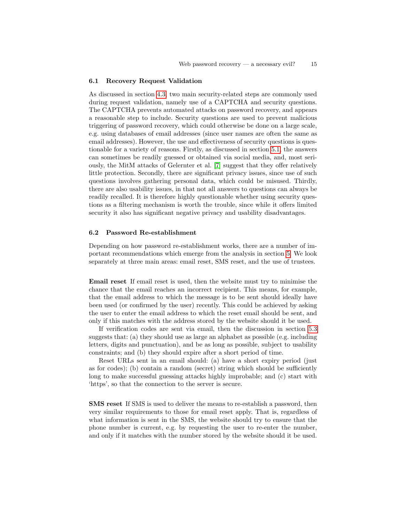#### 6.1 Recovery Request Validation

As discussed in section [4.3,](#page-6-1) two main security-related steps are commonly used during request validation, namely use of a CAPTCHA and security questions. The CAPTCHA prevents automated attacks on password recovery, and appears a reasonable step to include. Security questions are used to prevent malicious triggering of password recovery, which could otherwise be done on a large scale, e.g. using databases of email addresses (since user names are often the same as email addresses). However, the use and effectiveness of security questions is questionable for a variety of reasons. Firstly, as discussed in section [5.1,](#page-8-2) the answers can sometimes be readily guessed or obtained via social media, and, most seriously, the MitM attacks of Gelernter et al. [\[7\]](#page-16-7) suggest that they offer relatively little protection. Secondly, there are significant privacy issues, since use of such questions involves gathering personal data, which could be misused. Thirdly, there are also usability issues, in that not all answers to questions can always be readily recalled. It is therefore highly questionable whether using security questions as a filtering mechanism is worth the trouble, since while it offers limited security it also has significant negative privacy and usability disadvantages.

#### 6.2 Password Re-establishment

Depending on how password re-establishment works, there are a number of important recommendations which emerge from the analysis in section [5.](#page-8-0) We look separately at three main areas: email reset, SMS reset, and the use of trustees.

Email reset If email reset is used, then the website must try to minimise the chance that the email reaches an incorrect recipient. This means, for example, that the email address to which the message is to be sent should ideally have been used (or confirmed by the user) recently. This could be achieved by asking the user to enter the email address to which the reset email should be sent, and only if this matches with the address stored by the website should it be used.

If verification codes are sent via email, then the discussion in section [5.3](#page-10-0) suggests that: (a) they should use as large an alphabet as possible (e.g. including letters, digits and punctuation), and be as long as possible, subject to usability constraints; and (b) they should expire after a short period of time.

Reset URLs sent in an email should: (a) have a short expiry period (just as for codes); (b) contain a random (secret) string which should be sufficiently long to make successful guessing attacks highly improbable; and (c) start with 'https', so that the connection to the server is secure.

SMS reset If SMS is used to deliver the means to re-establish a password, then very similar requirements to those for email reset apply. That is, regardless of what information is sent in the SMS, the website should try to ensure that the phone number is current, e.g. by requesting the user to re-enter the number, and only if it matches with the number stored by the website should it be used.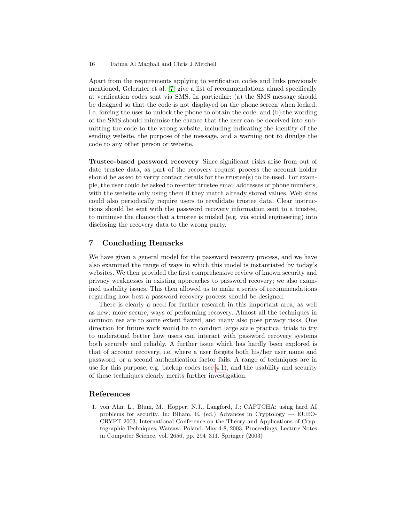Apart from the requirements applying to verification codes and links previously mentioned, Gelernter et al. [\[7\]](#page-16-7) give a list of recommendations aimed specifically at verification codes sent via SMS. In particular: (a) the SMS message should be designed so that the code is not displayed on the phone screen when locked, i.e. forcing the user to unlock the phone to obtain the code; and (b) the wording of the SMS should minimise the chance that the user can be deceived into submitting the code to the wrong website, including indicating the identity of the sending website, the purpose of the message, and a warning not to divulge the code to any other person or website.

Trustee-based password recovery Since significant risks arise from out of date trustee data, as part of the recovery request process the account holder should be asked to verify contact details for the trustee(s) to be used. For example, the user could be asked to re-enter trustee email addresses or phone numbers, with the website only using them if they match already stored values. Web sites could also periodically require users to revalidate trustee data. Clear instructions should be sent with the password recovery information sent to a trustee, to minimise the chance that a trustee is misled (e.g. via social engineering) into disclosing the recovery data to the wrong party.

# <span id="page-15-0"></span>7 Concluding Remarks

We have given a general model for the password recovery process, and we have also examined the range of ways in which this model is instantiated by today's websites. We then provided the first comprehensive review of known security and privacy weaknesses in existing approaches to password recovery; we also examined usability issues. This then allowed us to make a series of recommendations regarding how best a password recovery process should be designed.

There is clearly a need for further research in this important area, as well as new, more secure, ways of performing recovery. Almost all the techniques in common use are to some extent flawed, and many also pose privacy risks. One direction for future work would be to conduct large scale practical trials to try to understand better how users can interact with password recovery systems both securely and reliably. A further issue which has hardly been explored is that of account recovery, i.e. where a user forgets both his/her user name and password, or a second authentication factor fails. A range of techniques are in use for this purpose, e.g. backup codes (see [4.1\)](#page-5-5), and the usability and security of these techniques clearly merits further investigation.

## References

<span id="page-15-1"></span>1. von Ahn, L., Blum, M., Hopper, N.J., Langford, J.: CAPTCHA: using hard AI problems for security. In: Biham, E. (ed.) Advances in Cryptology — EURO-CRYPT 2003, International Conference on the Theory and Applications of Cryptographic Techniques, Warsaw, Poland, May 4-8, 2003, Proceedings. Lecture Notes in Computer Science, vol. 2656, pp. 294–311. Springer (2003)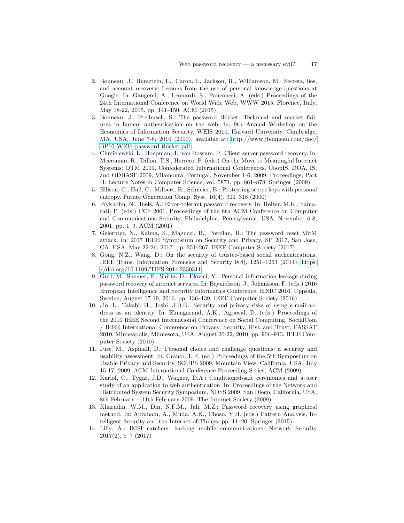- <span id="page-16-6"></span>2. Bonneau, J., Bursztein, E., Caron, I., Jackson, R., Williamson, M.: Secrets, lies, and account recovery: Lessons from the use of personal knowledge questions at Google. In: Gangemi, A., Leonardi, S., Panconesi, A. (eds.) Proceedings of the 24th International Conference on World Wide Web, WWW 2015, Florence, Italy, May 18-22, 2015. pp. 141–150. ACM (2015)
- <span id="page-16-8"></span>3. Bonneau, J., Preibusch, S.: The password thicket: Technical and market failures in human authentication on the web. In: 9th Annual Workshop on the Economics of Information Security, WEIS 2010, Harvard University, Cambridge, MA, USA, June 7-8, 2010 (2010), available at: [http://www.jbonneau.com/doc/](http://www.jbonneau.com/doc/BP10-WEIS-password_thicket.pdf) [BP10-WEIS-password](http://www.jbonneau.com/doc/BP10-WEIS-password_thicket.pdf) thicket.pdf
- <span id="page-16-2"></span>4. Chmielewski, L., Hoepman, J., van Rossum, P.: Client-server password recovery. In: Meersman, R., Dillon, T.S., Herrero, P. (eds.) On the Move to Meaningful Internet Systems: OTM 2009, Confederated International Conferences, CoopIS, DOA, IS, and ODBASE 2009, Vilamoura, Portugal, November 1-6, 2009, Proceedings, Part II. Lecture Notes in Computer Science, vol. 5871, pp. 861–878. Springer (2009)
- <span id="page-16-0"></span>5. Ellison, C., Hall, C., Milbert, R., Schneier, B.: Protecting secret keys with personal entropy. Future Generation Comp. Syst. 16(4), 311–318 (2000)
- <span id="page-16-1"></span>6. Frykholm, N., Juels, A.: Error-tolerant password recovery. In: Reiter, M.K., Samarati, P. (eds.) CCS 2001, Proceedings of the 8th ACM Conference on Computer and Communications Security, Philadelphia, Pennsylvania, USA, November 6-8, 2001. pp. 1–9. ACM (2001)
- <span id="page-16-7"></span>7. Gelernter, N., Kalma, S., Magnezi, B., Porcilan, H.: The password reset MitM attack. In: 2017 IEEE Symposium on Security and Privacy, SP 2017, San Jose, CA, USA, May 22-26, 2017. pp. 251–267. IEEE Computer Society (2017)
- <span id="page-16-9"></span>8. Gong, N.Z., Wang, D.: On the security of trustee-based social authentications. IEEE Trans. Information Forensics and Security 9(8), 1251–1263 (2014), [https:](https://doi.org/10.1109/TIFS.2014.2330311) [//doi.org/10.1109/TIFS.2014.2330311](https://doi.org/10.1109/TIFS.2014.2330311)
- <span id="page-16-4"></span>9. Guri, M., Shemer, E., Shirtz, D., Elovici, Y.: Personal information leakage during password recovery of internet services. In: Brynielsson, J., Johansson, F. (eds.) 2016 European Intelligence and Security Informatics Conference, EISIC 2016, Uppsala, Sweden, August 17-19, 2016. pp. 136–139. IEEE Computer Society (2016)
- <span id="page-16-12"></span>10. Jin, L., Takabi, H., Joshi, J.B.D.: Security and privacy risks of using e-mail address as an identity. In: Elmagarmid, A.K., Agrawal, D. (eds.) Proceedings of the 2010 IEEE Second International Conference on Social Computing, SocialCom IEEE International Conference on Privacy, Security, Risk and Trust, PASSAT 2010, Minneapolis, Minnesota, USA, August 20-22, 2010. pp. 906–913. IEEE Computer Society (2010)
- <span id="page-16-5"></span>11. Just, M., Aspinall, D.: Personal choice and challenge questions: a security and usability assessment. In: Cranor, L.F. (ed.) Proceedings of the 5th Symposium on Usable Privacy and Security, SOUPS 2009, Mountain View, California, USA, July 15-17, 2009. ACM International Conference Proceeding Series, ACM (2009)
- <span id="page-16-10"></span>12. Karlof, C., Tygar, J.D., Wagner, D.A.: Conditioned-safe ceremonies and a user study of an application to web authentication. In: Proceedings of the Network and Distributed System Security Symposium, NDSS 2009, San Diego, California, USA, 8th February – 11th February 2009. The Internet Society (2009)
- <span id="page-16-3"></span>13. Kharudin, W.M., Din, N.F.M., Jali, M.Z.: Password recovery using graphical method. In: Abraham, A., Muda, A.K., Choso, Y.H. (eds.) Pattern Analysis, Intelligent Security and the Internet of Things, pp. 11–20. Springer (2015)
- <span id="page-16-11"></span>14. Lilly, A.: IMSI catchers: hacking mobile communications. Network Security 2017(2), 5–7 (2017)